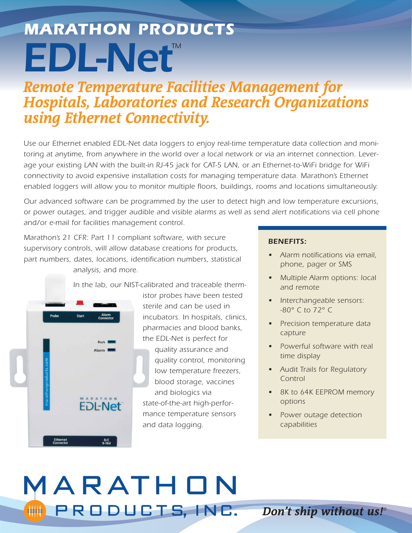# *EDL-Net™ MARATHON PRODUCTS*

## *Remote Temperature Facilities Management for Hospitals, Laboratories and Research Organizations using Ethernet Connectivity.*

*Use our Ethernet enabled EDL-Net data loggers to enjoy real-time temperature data collection and monitoring at anytime, from anywhere in the world over a local network or via an internet connection. Leverage your existing LAN with the built-in RJ-45 jack for CAT-5 LAN, or an Ethernet-to-WiFi bridge for WiFi connectivity to avoid expensive installation costs for managing temperature data. Marathon's Ethernet enabled loggers will allow you to monitor multiple floors, buildings, rooms and locations simultaneously.*

*Our advanced software can be programmed by the user to detect high and low temperature excursions, or power outages, and trigger audible and visible alarms as well as send alert notifications via cell phone and/or e-mail for facilities management control.*

*Marathon's 21 CFR: Part 11 compliant software, with secure supervisory controls, will allow database creations for products, part numbers, dates, locations, identification numbers, statistical analysis, and more.*

*In the lab, our NIST-calibrated and traceable therm-*



*istor probes have been tested sterile and can be used in incubators. In hospitals, clinics, pharmacies and blood banks, the EDL-Net is perfect for quality assurance and quality control, monitoring low temperature freezers, blood storage, vaccines and biologics via state-of-the-art high-performance temperature sensors and data logging.*

#### *BENEFITS:*

- *Alarm notifications via email, phone, pager or SMS*
- *Multiple Alarm options: local and remote*
- *Interchangeable sensors: -80° C to 72° C*
- *Precision temperature data capture*
- *Powerful software with real time display*
- *Audit Trails for Regulatory Control*
- *8K to 64K EEPROM memory options*
- *Power outage detection capabilities*

## MARATHON PRODUCTS, INC.

*Don't ship without us!®*